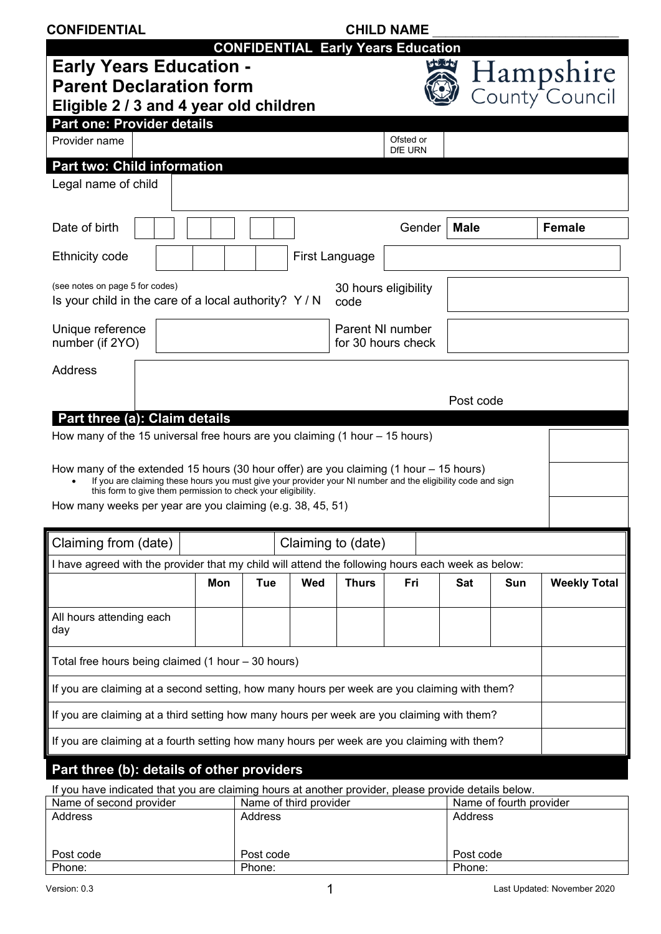| <b>CONFIDENTIAL</b>                                                                                                                                                                                                                                                    | <b>CHILD NAME</b>                                                                            |                        |                |                    |                                           |                |                         |                             |
|------------------------------------------------------------------------------------------------------------------------------------------------------------------------------------------------------------------------------------------------------------------------|----------------------------------------------------------------------------------------------|------------------------|----------------|--------------------|-------------------------------------------|----------------|-------------------------|-----------------------------|
|                                                                                                                                                                                                                                                                        |                                                                                              |                        |                |                    | <b>CONFIDENTIAL Early Years Education</b> |                |                         |                             |
| <b>Early Years Education -</b><br><b>Parent Declaration form</b><br>Eligible 2 / 3 and 4 year old children                                                                                                                                                             |                                                                                              |                        |                |                    |                                           | <b>Ischool</b> |                         | Hampshire<br>County Council |
| Part one: Provider details                                                                                                                                                                                                                                             |                                                                                              |                        |                |                    |                                           |                |                         |                             |
| Provider name                                                                                                                                                                                                                                                          |                                                                                              |                        |                |                    | Ofsted or<br>DfE URN                      |                |                         |                             |
| <b>Part two: Child information</b>                                                                                                                                                                                                                                     |                                                                                              |                        |                |                    |                                           |                |                         |                             |
| Legal name of child                                                                                                                                                                                                                                                    |                                                                                              |                        |                |                    |                                           |                |                         |                             |
| Date of birth                                                                                                                                                                                                                                                          |                                                                                              |                        |                |                    | Gender                                    | <b>Male</b>    |                         | <b>Female</b>               |
| <b>Ethnicity code</b>                                                                                                                                                                                                                                                  |                                                                                              |                        | First Language |                    |                                           |                |                         |                             |
| (see notes on page 5 for codes)<br>Is your child in the care of a local authority? Y / N                                                                                                                                                                               |                                                                                              |                        |                | code               | 30 hours eligibility                      |                |                         |                             |
| Unique reference<br>number (if 2YO)                                                                                                                                                                                                                                    |                                                                                              |                        |                |                    | Parent NI number<br>for 30 hours check    |                |                         |                             |
| <b>Address</b>                                                                                                                                                                                                                                                         |                                                                                              |                        |                |                    |                                           |                |                         |                             |
|                                                                                                                                                                                                                                                                        |                                                                                              |                        |                |                    |                                           | Post code      |                         |                             |
| Part three (a): Claim details                                                                                                                                                                                                                                          |                                                                                              |                        |                |                    |                                           |                |                         |                             |
| How many of the 15 universal free hours are you claiming $(1 hour - 15 hours)$                                                                                                                                                                                         |                                                                                              |                        |                |                    |                                           |                |                         |                             |
| How many of the extended 15 hours (30 hour offer) are you claiming (1 hour – 15 hours)<br>If you are claiming these hours you must give your provider your NI number and the eligibility code and sign<br>this form to give them permission to check your eligibility. |                                                                                              |                        |                |                    |                                           |                |                         |                             |
| How many weeks per year are you claiming (e.g. 38, 45, 51)                                                                                                                                                                                                             |                                                                                              |                        |                |                    |                                           |                |                         |                             |
| Claiming from (date)                                                                                                                                                                                                                                                   |                                                                                              |                        |                | Claiming to (date) |                                           |                |                         |                             |
| I have agreed with the provider that my child will attend the following hours each week as below:                                                                                                                                                                      |                                                                                              |                        |                |                    |                                           |                |                         |                             |
|                                                                                                                                                                                                                                                                        | Mon                                                                                          | <b>Tue</b>             | Wed            | <b>Thurs</b>       | Fri                                       | Sat            | Sun                     | <b>Weekly Total</b>         |
| All hours attending each<br>day                                                                                                                                                                                                                                        |                                                                                              |                        |                |                    |                                           |                |                         |                             |
| Total free hours being claimed (1 hour - 30 hours)                                                                                                                                                                                                                     |                                                                                              |                        |                |                    |                                           |                |                         |                             |
|                                                                                                                                                                                                                                                                        | If you are claiming at a second setting, how many hours per week are you claiming with them? |                        |                |                    |                                           |                |                         |                             |
| If you are claiming at a third setting how many hours per week are you claiming with them?                                                                                                                                                                             |                                                                                              |                        |                |                    |                                           |                |                         |                             |
|                                                                                                                                                                                                                                                                        |                                                                                              |                        |                |                    |                                           |                |                         |                             |
| If you are claiming at a fourth setting how many hours per week are you claiming with them?                                                                                                                                                                            |                                                                                              |                        |                |                    |                                           |                |                         |                             |
| Part three (b): details of other providers                                                                                                                                                                                                                             |                                                                                              |                        |                |                    |                                           |                |                         |                             |
| If you have indicated that you are claiming hours at another provider, please provide details below.<br>Name of second provider                                                                                                                                        |                                                                                              | Name of third provider |                |                    |                                           |                | Name of fourth provider |                             |

| <b>Natile OF SECOTIG DI OVIGET</b> | <b>Natile OF GRILD DI OVIGET</b> | <b>NATILE OF JULIUS DI DIVILLET</b> |
|------------------------------------|----------------------------------|-------------------------------------|
| Address                            | <b>Address</b>                   | Address                             |
| Post code                          | Post code                        | Post code                           |
| Phone:                             | Phone:                           | Phone:                              |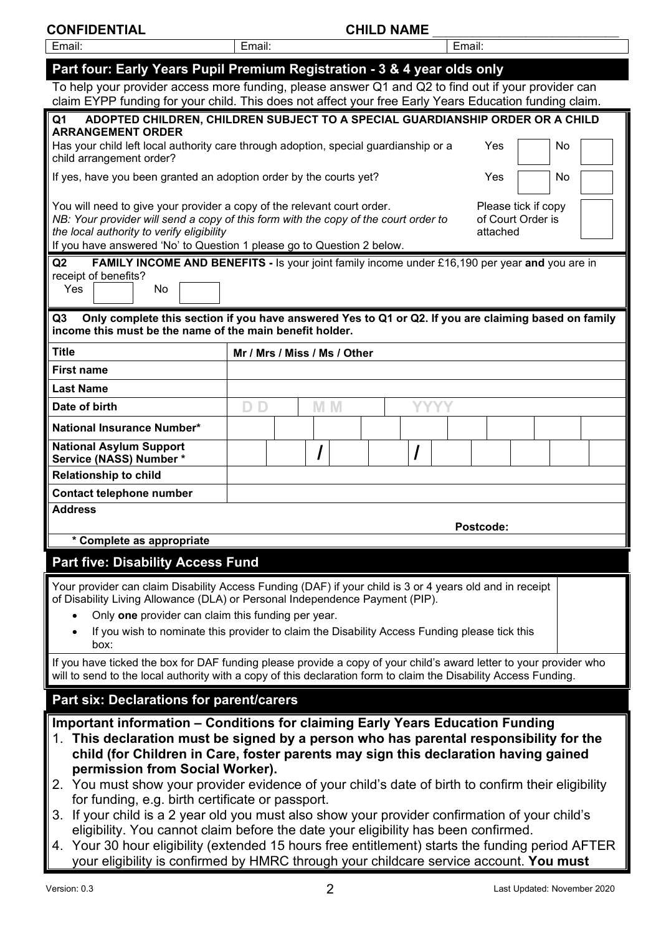| <b>CONFIDENTIAL</b> | <b>CHILD NAME</b> |
|---------------------|-------------------|
| l Email:            |                   |

| Email:                                                                                                                                                                                                                                                                                                                                        | Email:                                                                                            |  |  |     |  |   |  | Email:    |  |  |  |
|-----------------------------------------------------------------------------------------------------------------------------------------------------------------------------------------------------------------------------------------------------------------------------------------------------------------------------------------------|---------------------------------------------------------------------------------------------------|--|--|-----|--|---|--|-----------|--|--|--|
| Part four: Early Years Pupil Premium Registration - 3 & 4 year olds only                                                                                                                                                                                                                                                                      |                                                                                                   |  |  |     |  |   |  |           |  |  |  |
| To help your provider access more funding, please answer Q1 and Q2 to find out if your provider can<br>claim EYPP funding for your child. This does not affect your free Early Years Education funding claim.                                                                                                                                 |                                                                                                   |  |  |     |  |   |  |           |  |  |  |
| ADOPTED CHILDREN, CHILDREN SUBJECT TO A SPECIAL GUARDIANSHIP ORDER OR A CHILD<br>Q1                                                                                                                                                                                                                                                           |                                                                                                   |  |  |     |  |   |  |           |  |  |  |
| <b>ARRANGEMENT ORDER</b><br>child arrangement order?                                                                                                                                                                                                                                                                                          | Has your child left local authority care through adoption, special guardianship or a<br>Yes<br>No |  |  |     |  |   |  |           |  |  |  |
| If yes, have you been granted an adoption order by the courts yet?                                                                                                                                                                                                                                                                            | Yes<br>No                                                                                         |  |  |     |  |   |  |           |  |  |  |
| You will need to give your provider a copy of the relevant court order.<br>Please tick if copy<br>NB: Your provider will send a copy of this form with the copy of the court order to<br>of Court Order is<br>the local authority to verify eligibility<br>attached<br>If you have answered 'No' to Question 1 please go to Question 2 below. |                                                                                                   |  |  |     |  |   |  |           |  |  |  |
| Q2<br><b>FAMILY INCOME AND BENEFITS - Is your joint family income under £16,190 per year and you are in</b>                                                                                                                                                                                                                                   |                                                                                                   |  |  |     |  |   |  |           |  |  |  |
| receipt of benefits?<br>Yes<br>No                                                                                                                                                                                                                                                                                                             |                                                                                                   |  |  |     |  |   |  |           |  |  |  |
| Only complete this section if you have answered Yes to Q1 or Q2. If you are claiming based on family<br>Q3<br>income this must be the name of the main benefit holder.                                                                                                                                                                        |                                                                                                   |  |  |     |  |   |  |           |  |  |  |
| <b>Title</b>                                                                                                                                                                                                                                                                                                                                  | Mr / Mrs / Miss / Ms / Other                                                                      |  |  |     |  |   |  |           |  |  |  |
| <b>First name</b>                                                                                                                                                                                                                                                                                                                             |                                                                                                   |  |  |     |  |   |  |           |  |  |  |
| <b>Last Name</b>                                                                                                                                                                                                                                                                                                                              |                                                                                                   |  |  |     |  |   |  |           |  |  |  |
| Date of birth                                                                                                                                                                                                                                                                                                                                 | D.<br>D                                                                                           |  |  | M M |  |   |  |           |  |  |  |
| National Insurance Number*                                                                                                                                                                                                                                                                                                                    |                                                                                                   |  |  |     |  |   |  |           |  |  |  |
| <b>National Asylum Support</b><br>Service (NASS) Number*                                                                                                                                                                                                                                                                                      |                                                                                                   |  |  |     |  | I |  |           |  |  |  |
| <b>Relationship to child</b>                                                                                                                                                                                                                                                                                                                  |                                                                                                   |  |  |     |  |   |  |           |  |  |  |
| <b>Contact telephone number</b>                                                                                                                                                                                                                                                                                                               |                                                                                                   |  |  |     |  |   |  |           |  |  |  |
| <b>Address</b>                                                                                                                                                                                                                                                                                                                                |                                                                                                   |  |  |     |  |   |  | Postcode: |  |  |  |
| * Complete as appropriate                                                                                                                                                                                                                                                                                                                     |                                                                                                   |  |  |     |  |   |  |           |  |  |  |
|                                                                                                                                                                                                                                                                                                                                               | <b>Part five: Disability Access Fund</b>                                                          |  |  |     |  |   |  |           |  |  |  |
| Your provider can claim Disability Access Funding (DAF) if your child is 3 or 4 years old and in receipt<br>of Disability Living Allowance (DLA) or Personal Independence Payment (PIP).                                                                                                                                                      |                                                                                                   |  |  |     |  |   |  |           |  |  |  |
| Only one provider can claim this funding per year.                                                                                                                                                                                                                                                                                            |                                                                                                   |  |  |     |  |   |  |           |  |  |  |
| If you wish to nominate this provider to claim the Disability Access Funding please tick this<br>box:                                                                                                                                                                                                                                         |                                                                                                   |  |  |     |  |   |  |           |  |  |  |
| If you have ticked the box for DAF funding please provide a copy of your child's award letter to your provider who<br>will to send to the local authority with a copy of this declaration form to claim the Disability Access Funding.                                                                                                        |                                                                                                   |  |  |     |  |   |  |           |  |  |  |
| <b>Part six: Declarations for parent/carers</b>                                                                                                                                                                                                                                                                                               |                                                                                                   |  |  |     |  |   |  |           |  |  |  |
| Important information – Conditions for claiming Early Years Education Funding<br>1. This declaration must be signed by a person who has parental responsibility for the<br>child (for Children in Care, foster parents may sign this declaration having gained<br>permission from Social Worker).                                             |                                                                                                   |  |  |     |  |   |  |           |  |  |  |
| 2. You must show your provider evidence of your child's date of birth to confirm their eligibility<br>for funding, e.g. birth certificate or passport.                                                                                                                                                                                        |                                                                                                   |  |  |     |  |   |  |           |  |  |  |
| 3. If your child is a 2 year old you must also show your provider confirmation of your child's                                                                                                                                                                                                                                                |                                                                                                   |  |  |     |  |   |  |           |  |  |  |
| eligibility. You cannot claim before the date your eligibility has been confirmed.<br>A Vour 30 bour eligibility (extended 15 bours free entitlement) starts the funding period AFTER                                                                                                                                                         |                                                                                                   |  |  |     |  |   |  |           |  |  |  |

0 hour eligibility (extended 15 hours free entitlement) starts the funding your eligibility is confirmed by HMRC through your childcare service account. **You must**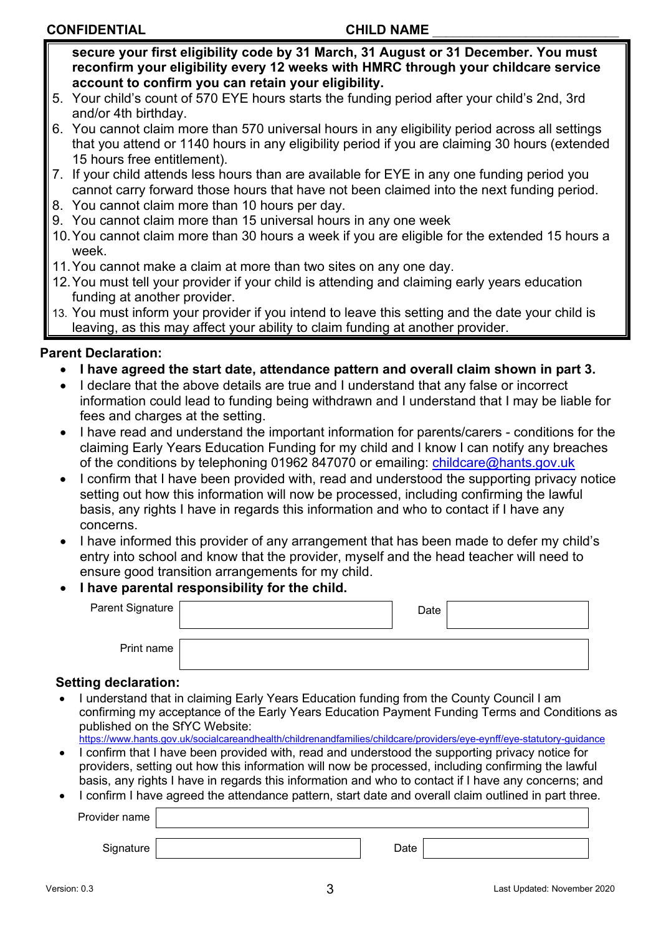# **CONFIDENTIAL CONFIDENTIAL**

**secure your first eligibility code by 31 March, 31 August or 31 December. You must reconfirm your eligibility every 12 weeks with HMRC through your childcare service account to confirm you can retain your eligibility.** 

- 5. Your child's count of 570 EYE hours starts the funding period after your child's 2nd, 3rd and/or 4th birthday.
- 6. You cannot claim more than 570 universal hours in any eligibility period across all settings that you attend or 1140 hours in any eligibility period if you are claiming 30 hours (extended 15 hours free entitlement).
- 7. If your child attends less hours than are available for EYE in any one funding period you cannot carry forward those hours that have not been claimed into the next funding period.
- 8. You cannot claim more than 10 hours per day.
- 9. You cannot claim more than 15 universal hours in any one week
- 10.You cannot claim more than 30 hours a week if you are eligible for the extended 15 hours a week.
- 11.You cannot make a claim at more than two sites on any one day.
- 12.You must tell your provider if your child is attending and claiming early years education funding at another provider.
- 13. You must inform your provider if you intend to leave this setting and the date your child is leaving, as this may affect your ability to claim funding at another provider.

# **Parent Declaration:**

- **I have agreed the start date, attendance pattern and overall claim shown in part 3.**
- I declare that the above details are true and I understand that any false or incorrect information could lead to funding being withdrawn and I understand that I may be liable for fees and charges at the setting.
- I have read and understand the important information for parents/carers conditions for the claiming Early Years Education Funding for my child and I know I can notify any breaches of the conditions by telephoning 01962 847070 or emailing: [childcare@hants.gov.uk](mailto:childcare@hants.gov.uk)
- I confirm that I have been provided with, read and understood the supporting privacy notice setting out how this information will now be processed, including confirming the lawful basis, any rights I have in regards this information and who to contact if I have any concerns.
- I have informed this provider of any arrangement that has been made to defer my child's entry into school and know that the provider, myself and the head teacher will need to ensure good transition arrangements for my child.

# • **I have parental responsibility for the child.**

| Parent Signature | Date |  |
|------------------|------|--|
| Print name       |      |  |

## **Setting declaration:**

• I understand that in claiming Early Years Education funding from the County Council I am confirming my acceptance of the Early Years Education Payment Funding Terms and Conditions as published on the SfYC Website:

<https://www.hants.gov.uk/socialcareandhealth/childrenandfamilies/childcare/providers/eye-eynff/eye-statutory-guidance>

- I confirm that I have been provided with, read and understood the supporting privacy notice for providers, setting out how this information will now be processed, including confirming the lawful basis, any rights I have in regards this information and who to contact if I have any concerns; and
- I confirm I have agreed the attendance pattern, start date and overall claim outlined in part three. Provider name

Signature Date **Date**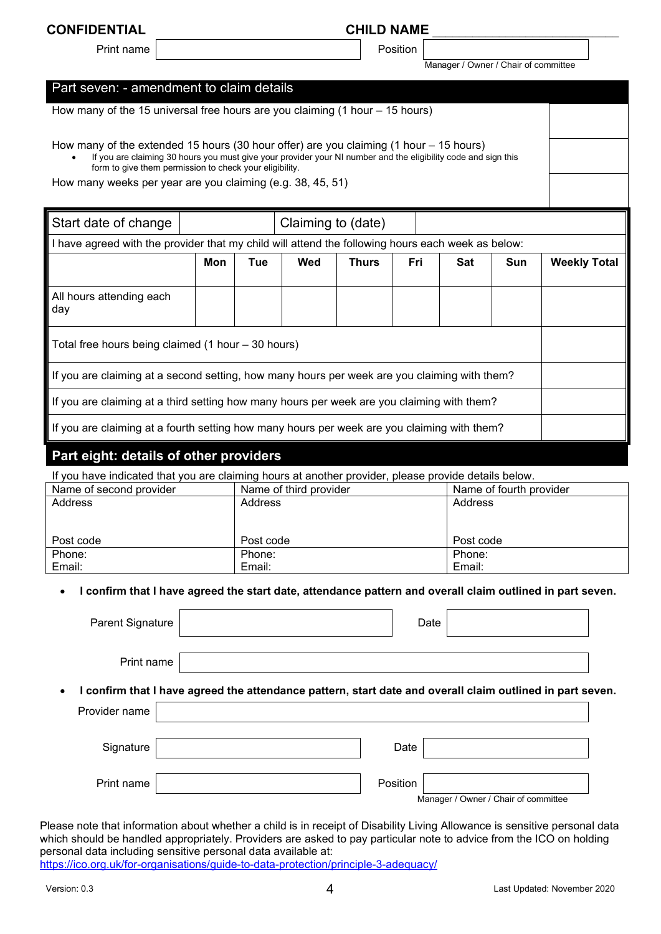#### **CONFIDENTIAL CONFIDENTIAL**

Print name | November 2012 | Position

Manager / Owner / Chair of committee

### Part seven: - amendment to claim details

How many of the 15 universal free hours are you claiming (1 hour – 15 hours)

How many of the extended 15 hours (30 hour offer) are you claiming (1 hour – 15 hours)

• If you are claiming 30 hours you must give your provider your NI number and the eligibility code and sign this form to give them permission to check your eligibility.

How many weeks per year are you claiming (e.g. 38, 45, 51)

| Start date of change                                                                              | Claiming to (date) |     |     |              |     |     |                                        |                     |  |  |  |  |  |
|---------------------------------------------------------------------------------------------------|--------------------|-----|-----|--------------|-----|-----|----------------------------------------|---------------------|--|--|--|--|--|
| I have agreed with the provider that my child will attend the following hours each week as below: |                    |     |     |              |     |     |                                        |                     |  |  |  |  |  |
|                                                                                                   | Mon                | Tue | Wed | <b>Thurs</b> | Fri | Sat | Sun                                    | <b>Weekly Total</b> |  |  |  |  |  |
| All hours attending each<br>day                                                                   |                    |     |     |              |     |     |                                        |                     |  |  |  |  |  |
| Total free hours being claimed (1 hour – 30 hours)                                                |                    |     |     |              |     |     |                                        |                     |  |  |  |  |  |
| If you are claiming at a second setting, how many hours per week are you claiming with them?      |                    |     |     |              |     |     |                                        |                     |  |  |  |  |  |
| If you are claiming at a third setting how many hours per week are you claiming with them?        |                    |     |     |              |     |     |                                        |                     |  |  |  |  |  |
| If you are claiming at a fourth setting how many hours per week are you claiming with them?       |                    |     |     |              |     |     |                                        |                     |  |  |  |  |  |
|                                                                                                   |                    |     |     |              |     |     | Part eight: details of other providers |                     |  |  |  |  |  |

If you have indicated that you are claiming hours at another provider, please provide details below.

| Name of second provider | Name of third provider | Name of fourth provider |
|-------------------------|------------------------|-------------------------|
| Address                 | Address                | Address                 |
|                         |                        |                         |
|                         |                        |                         |
|                         |                        |                         |
| Post code               | Post code              | Post code               |
| Phone:                  | Phone:                 | Phone:                  |
| Email:                  | Email:                 | Email:                  |

• **I confirm that I have agreed the start date, attendance pattern and overall claim outlined in part seven.**

| Parent Signature | Date                                                                                                      |
|------------------|-----------------------------------------------------------------------------------------------------------|
| Print name       |                                                                                                           |
| $\bullet$        | I confirm that I have agreed the attendance pattern, start date and overall claim outlined in part seven. |
| Provider name    |                                                                                                           |
| Signature        | Date                                                                                                      |
| Print name       | Position<br>Manager / Owner / Chair of committee                                                          |

Please note that information about whether a child is in receipt of Disability Living Allowance is sensitive personal data which should be handled appropriately. Providers are asked to pay particular note to advice from the ICO on holding personal data including sensitive personal data available at:

<https://ico.org.uk/for-organisations/guide-to-data-protection/principle-3-adequacy/>